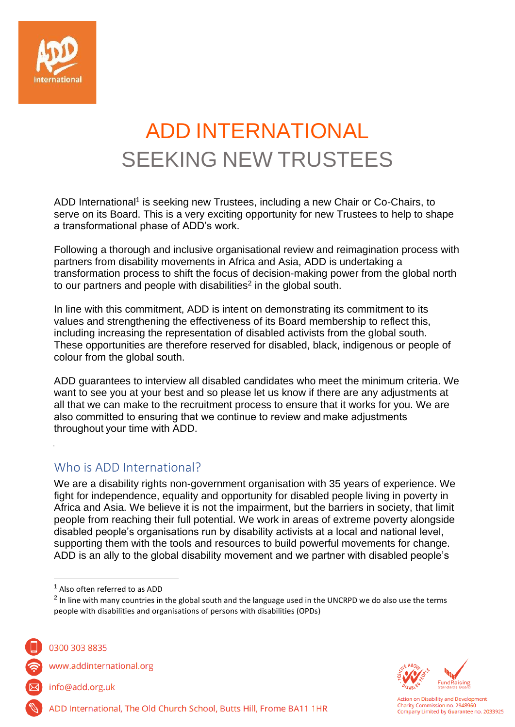

# ADD INTERNATIONAL SEEKING NEW TRUSTEES

ADD International<sup>1</sup> is seeking new Trustees, including a new Chair or Co-Chairs, to serve on its Board. This is a very exciting opportunity for new Trustees to help to shape a transformational phase of ADD's work.

Following a thorough and inclusive organisational review and reimagination process with partners from disability movements in Africa and Asia, ADD is undertaking a transformation process to shift the focus of decision-making power from the global north to our partners and people with disabilities<sup>2</sup> in the global south.

In line with this commitment, ADD is intent on demonstrating its commitment to its values and strengthening the effectiveness of its Board membership to reflect this, including increasing the representation of disabled activists from the global south. These opportunities are therefore reserved for disabled, black, indigenous or people of colour from the global south.

ADD guarantees to interview all disabled candidates who meet the minimum criteria. We want to see you at your best and so please let us know if there are any adjustments at all that we can make to the recruitment process to ensure that it works for you. We are also committed to ensuring that we continue to review and make adjustments throughout your time with ADD.

#### Who is ADD International?

We are a disability rights non-government organisation with 35 years of experience. We fight for independence, equality and opportunity for disabled people living in poverty in Africa and Asia. We believe it is not the impairment, but the barriers in society, that limit people from reaching their full potential. We work in areas of extreme poverty alongside disabled people's organisations run by disability activists at a local and national level, supporting them with the tools and resources to build powerful movements for change. ADD is an ally to the global disability movement and we partner with disabled people's

ADD International, The Old Church School, Butts Hill, Frome BA11 1HR



0300 303 8835

www.addinternational.org

info@add.org.uk



<sup>1</sup> Also often referred to as ADD

 $^2$  In line with many countries in the global south and the language used in the UNCRPD we do also use the terms people with disabilities and organisations of persons with disabilities (OPDs)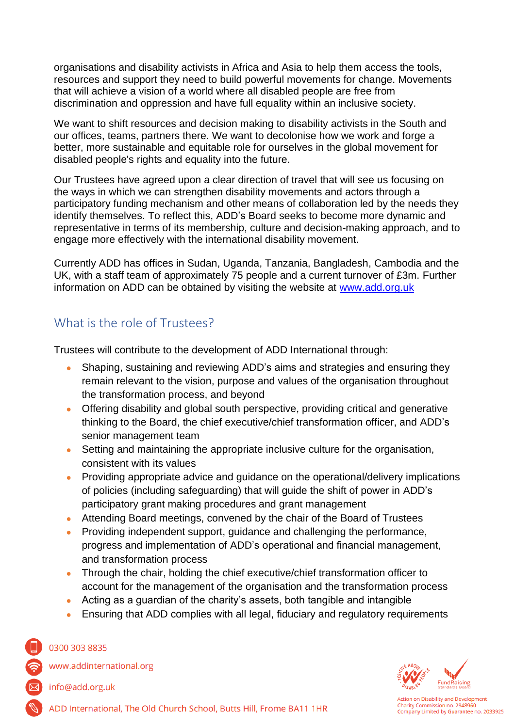organisations and disability activists in Africa and Asia to help them access the tools, resources and support they need to build powerful movements for change. Movements that will achieve a vision of a world where all disabled people are free from discrimination and oppression and have full equality within an inclusive society.

We want to shift resources and decision making to disability activists in the South and our offices, teams, partners there. We want to decolonise how we work and forge a better, more sustainable and equitable role for ourselves in the global movement for disabled people's rights and equality into the future.

Our Trustees have agreed upon a clear direction of travel that will see us focusing on the ways in which we can strengthen disability movements and actors through a participatory funding mechanism and other means of collaboration led by the needs they identify themselves. To reflect this, ADD's Board seeks to become more dynamic and representative in terms of its membership, culture and decision-making approach, and to engage more effectively with the international disability movement.

Currently ADD has offices in Sudan, Uganda, Tanzania, Bangladesh, Cambodia and the UK, with a staff team of approximately 75 people and a current turnover of £3m. Further information on ADD can be obtained by visiting the website at [www.add.org.uk](http://www.add.org.uk/)

### What is the role of Trustees?

Trustees will contribute to the development of ADD International through:

- Shaping, sustaining and reviewing ADD's aims and strategies and ensuring they remain relevant to the vision, purpose and values of the organisation throughout the transformation process, and beyond
- Offering disability and global south perspective, providing critical and generative thinking to the Board, the chief executive/chief transformation officer, and ADD's senior management team
- Setting and maintaining the appropriate inclusive culture for the organisation, consistent with its values
- Providing appropriate advice and quidance on the operational/delivery implications of policies (including safeguarding) that will guide the shift of power in ADD's participatory grant making procedures and grant management
- Attending Board meetings, convened by the chair of the Board of Trustees
- Providing independent support, guidance and challenging the performance, progress and implementation of ADD's operational and financial management, and transformation process
- Through the chair, holding the chief executive/chief transformation officer to account for the management of the organisation and the transformation process
- Acting as a guardian of the charity's assets, both tangible and intangible
- Ensuring that ADD complies with all legal, fiduciary and regulatory requirements

#### 0300 303 8835

www.addinternational.org

info@add.org.uk



ction on Disability and Development Charity Commission no. 2948960 Company Limited by Guarantee no. 2033925

ADD International, The Old Church School, Butts Hill, Frome BA11 1HR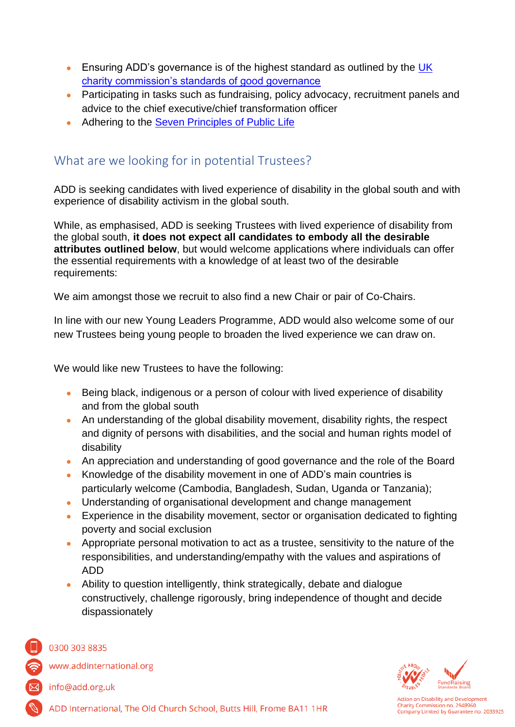- Ensuring ADD's governance is of the highest standard as outlined by the UK [charity commission's standards of good governance](http://www.google.co.uk/url?sa=t&rct=j&q=&esrc=s&source=web&cd=2&cad=rja&uact=8&ved=0CC8QFjAB&url=http%3A%2F%2Fwww.governancecode.org%2Fwp-content%2Fuploads%2F2012%2F06%2FCode-of-Governance-Full1.pdf&ei=4py_VPvpNcLW7AbVq4DwAg&usg=AFQjCNEaSyxlaB1ZPLz_3dKTHLqhFJaR1g)
- Participating in tasks such as fundraising, policy advocacy, recruitment panels and advice to the chief executive/chief transformation officer
- Adhering to the [Seven Principles of Public Life](https://www.gov.uk/government/publications/the-7-principles-of-public-life)

### What are we looking for in potential Trustees?

ADD is seeking candidates with lived experience of disability in the global south and with experience of disability activism in the global south.

While, as emphasised, ADD is seeking Trustees with lived experience of disability from the global south, **it does not expect all candidates to embody all the desirable attributes outlined below**, but would welcome applications where individuals can offer the essential requirements with a knowledge of at least two of the desirable requirements:

We aim amongst those we recruit to also find a new Chair or pair of Co-Chairs.

In line with our new Young Leaders Programme, ADD would also welcome some of our new Trustees being young people to broaden the lived experience we can draw on.

We would like new Trustees to have the following:

- Being black, indigenous or a person of colour with lived experience of disability and from the global south
- An understanding of the global disability movement, disability rights, the respect and dignity of persons with disabilities, and the social and human rights model of disability
- An appreciation and understanding of good governance and the role of the Board
- Knowledge of the disability movement in one of ADD's main countries is particularly welcome (Cambodia, Bangladesh, Sudan, Uganda or Tanzania);
- Understanding of organisational development and change management
- Experience in the disability movement, sector or organisation dedicated to fighting poverty and social exclusion
- Appropriate personal motivation to act as a trustee, sensitivity to the nature of the responsibilities, and understanding/empathy with the values and aspirations of ADD
- Ability to question intelligently, think strategically, debate and dialogue constructively, challenge rigorously, bring independence of thought and decide dispassionately





www.addinternational.org



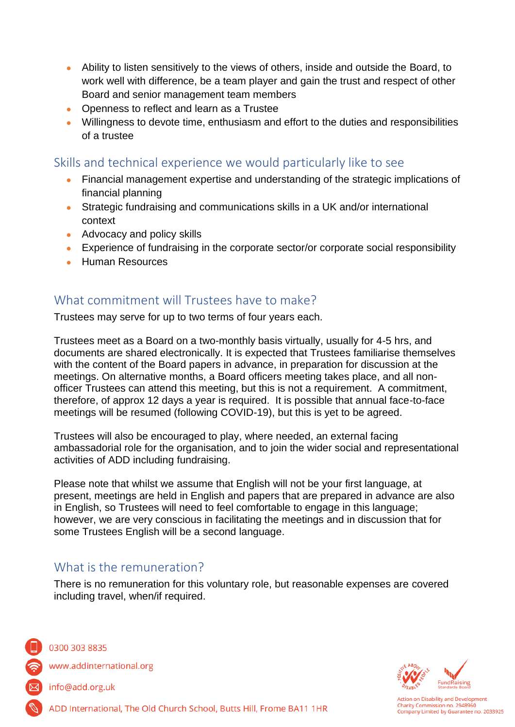- Ability to listen sensitively to the views of others, inside and outside the Board, to work well with difference, be a team player and gain the trust and respect of other Board and senior management team members
- Openness to reflect and learn as a Trustee
- Willingness to devote time, enthusiasm and effort to the duties and responsibilities of a trustee

Skills and technical experience we would particularly like to see

- Financial management expertise and understanding of the strategic implications of financial planning
- Strategic fundraising and communications skills in a UK and/or international context
- Advocacy and policy skills
- Experience of fundraising in the corporate sector/or corporate social responsibility
- **Human Resources**

#### What commitment will Trustees have to make?

Trustees may serve for up to two terms of four years each.

Trustees meet as a Board on a two-monthly basis virtually, usually for 4-5 hrs, and documents are shared electronically. It is expected that Trustees familiarise themselves with the content of the Board papers in advance, in preparation for discussion at the meetings. On alternative months, a Board officers meeting takes place, and all nonofficer Trustees can attend this meeting, but this is not a requirement. A commitment, therefore, of approx 12 days a year is required. It is possible that annual face-to-face meetings will be resumed (following COVID-19), but this is yet to be agreed.

Trustees will also be encouraged to play, where needed, an external facing ambassadorial role for the organisation, and to join the wider social and representational activities of ADD including fundraising.

Please note that whilst we assume that English will not be your first language, at present, meetings are held in English and papers that are prepared in advance are also in English, so Trustees will need to feel comfortable to engage in this language; however, we are very conscious in facilitating the meetings and in discussion that for some Trustees English will be a second language.

#### What is the remuneration?

There is no remuneration for this voluntary role, but reasonable expenses are covered including travel, when/if required.



0300 303 8835

www.addinternational.org

info@add.org.uk



ADD International, The Old Church School, Butts Hill, Frome BA11 1HR

ction on Disability and Development Charity Commission no. 2948960 Company Limited by Guarantee no. 2033925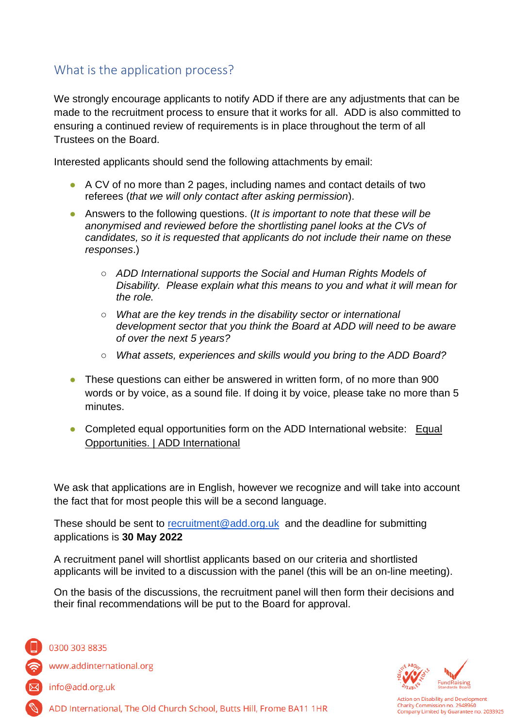# What is the application process?

We strongly encourage applicants to notify ADD if there are any adjustments that can be made to the recruitment process to ensure that it works for all. ADD is also committed to ensuring a continued review of requirements is in place throughout the term of all Trustees on the Board.

Interested applicants should send the following attachments by email:

- A CV of no more than 2 pages, including names and contact details of two referees (*that we will only contact after asking permission*).
- Answers to the following questions. (*It is important to note that these will be anonymised and reviewed before the shortlisting panel looks at the CVs of candidates, so it is requested that applicants do not include their name on these responses*.)
	- *ADD International supports the Social and Human Rights Models of Disability. Please explain what this means to you and what it will mean for the role.*
	- *What are the key trends in the disability sector or international development sector that you think the Board at ADD will need to be aware of over the next 5 years?*
	- *What assets, experiences and skills would you bring to the ADD Board?*
- These questions can either be answered in written form, of no more than 900 words or by voice, as a sound file. If doing it by voice, please take no more than 5 minutes.
- Completed equal opportunities form on the ADD International website: Equal [Opportunities. | ADD International](https://add.org.uk/equal-opportunities)

We ask that applications are in English, however we recognize and will take into account the fact that for most people this will be a second language.

These should be sent to [recruitment@add.org.uk](mailto:recruitment@add.org.uk) and the deadline for submitting applications is **30 May 2022** 

A recruitment panel will shortlist applicants based on our criteria and shortlisted applicants will be invited to a discussion with the panel (this will be an on-line meeting).

On the basis of the discussions, the recruitment panel will then form their decisions and their final recommendations will be put to the Board for approval.



0300 303 8835

www.addinternational.org

info@add.org.uk



ction on Disability and Development Charity Commission no. 2948960 Company Limited by Guarantee no. 2033925